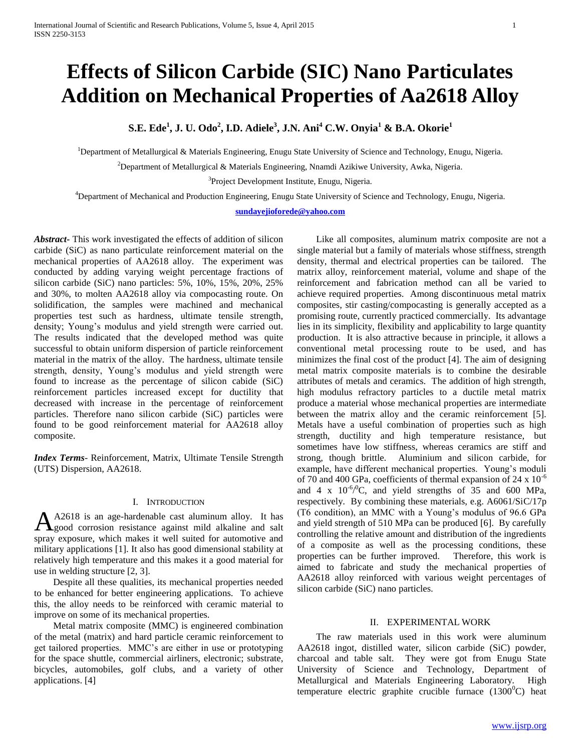# **Effects of Silicon Carbide (SIC) Nano Particulates Addition on Mechanical Properties of Aa2618 Alloy**

**S.E. Ede<sup>1</sup> , J. U. Odo<sup>2</sup> , I.D. Adiele<sup>3</sup> , J.N. Ani<sup>4</sup> C.W. Onyia<sup>1</sup> & B.A. Okorie<sup>1</sup>**

<sup>1</sup>Department of Metallurgical & Materials Engineering, Enugu State University of Science and Technology, Enugu, Nigeria.

<sup>2</sup>Department of Metallurgical & Materials Engineering, Nnamdi Azikiwe University, Awka, Nigeria.

<sup>3</sup>Project Development Institute, Enugu, Nigeria.

<sup>4</sup>Department of Mechanical and Production Engineering, Enugu State University of Science and Technology, Enugu, Nigeria.

**[sundayejioforede@yahoo.com](mailto:sundayejioforede@yahoo.com)**

*Abstract***-** This work investigated the effects of addition of silicon carbide (SiC) as nano particulate reinforcement material on the mechanical properties of AA2618 alloy. The experiment was conducted by adding varying weight percentage fractions of silicon carbide (SiC) nano particles: 5%, 10%, 15%, 20%, 25% and 30%, to molten AA2618 alloy via compocasting route. On solidification, the samples were machined and mechanical properties test such as hardness, ultimate tensile strength, density; Young's modulus and yield strength were carried out. The results indicated that the developed method was quite successful to obtain uniform dispersion of particle reinforcement material in the matrix of the alloy. The hardness, ultimate tensile strength, density, Young's modulus and yield strength were found to increase as the percentage of silicon cabide (SiC) reinforcement particles increased except for ductility that decreased with increase in the percentage of reinforcement particles. Therefore nano silicon carbide (SiC) particles were found to be good reinforcement material for AA2618 alloy composite.

*Index Terms*- Reinforcement, Matrix, Ultimate Tensile Strength (UTS) Dispersion, AA2618.

### I. INTRODUCTION

A2618 is an age-hardenable cast aluminum alloy. It has good corrosion resistance against mild alkaline and salt A2618 is an age-hardenable cast aluminum alloy. It has good corrosion resistance against mild alkaline and salt spray exposure, which makes it well suited for automotive and military applications [1]. It also has good dimensional stability at relatively high temperature and this makes it a good material for use in welding structure [2, 3].

 Despite all these qualities, its mechanical properties needed to be enhanced for better engineering applications. To achieve this, the alloy needs to be reinforced with ceramic material to improve on some of its mechanical properties.

 Metal matrix composite (MMC) is engineered combination of the metal (matrix) and hard particle ceramic reinforcement to get tailored properties. MMC's are either in use or prototyping for the space shuttle, commercial airliners, electronic; substrate, bicycles, automobiles, golf clubs, and a variety of other applications. [4]

 Like all composites, aluminum matrix composite are not a single material but a family of materials whose stiffness, strength density, thermal and electrical properties can be tailored. The matrix alloy, reinforcement material, volume and shape of the reinforcement and fabrication method can all be varied to achieve required properties. Among discontinuous metal matrix composites, stir casting/compocasting is generally accepted as a promising route, currently practiced commercially. Its advantage lies in its simplicity, flexibility and applicability to large quantity production. It is also attractive because in principle, it allows a conventional metal processing route to be used, and has minimizes the final cost of the product [4]. The aim of designing metal matrix composite materials is to combine the desirable attributes of metals and ceramics. The addition of high strength, high modulus refractory particles to a ductile metal matrix produce a material whose mechanical properties are intermediate between the matrix alloy and the ceramic reinforcement [5]. Metals have a useful combination of properties such as high strength, ductility and high temperature resistance, but sometimes have low stiffness, whereas ceramics are stiff and strong, though brittle. Aluminium and silicon carbide, for example, have different mechanical properties. Young's moduli of 70 and 400 GPa, coefficients of thermal expansion of 24 x  $10^{-6}$ and 4 x  $10^{-6/0}$ C, and yield strengths of 35 and 600 MPa, respectively. By combining these materials, e.g. A6061/SiC/17p (T6 condition), an MMC with a Young's modulus of 96.6 GPa and yield strength of 510 MPa can be produced [6]. By carefully controlling the relative amount and distribution of the ingredients of a composite as well as the processing conditions, these properties can be further improved. Therefore, this work is aimed to fabricate and study the mechanical properties of AA2618 alloy reinforced with various weight percentages of silicon carbide (SiC) nano particles.

## II. EXPERIMENTAL WORK

 The raw materials used in this work were aluminum AA2618 ingot, distilled water, silicon carbide (SiC) powder, charcoal and table salt. They were got from Enugu State University of Science and Technology, Department of Metallurgical and Materials Engineering Laboratory. High temperature electric graphite crucible furnace  $(1300^{\circ}C)$  heat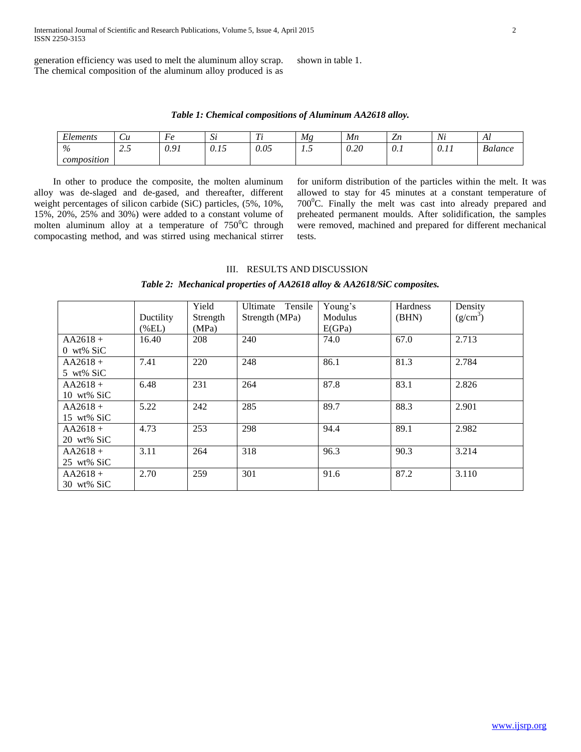generation efficiency was used to melt the aluminum alloy scrap. The chemical composition of the aluminum alloy produced is as

shown in table 1.

*Table 1: Chemical compositions of Aluminum AA2618 alloy.*

| $\mathbf{r}$<br>lements | $\iota$                                                  | ┳<br>HО<br>v                                     | $\sim$<br>ມ                                            | $\sim$<br><b>1</b> v | Мg           | Мn         | –<br>$\overline{\phantom{a}}$ | $\overline{M}$<br>1 V L | Al                      |
|-------------------------|----------------------------------------------------------|--------------------------------------------------|--------------------------------------------------------|----------------------|--------------|------------|-------------------------------|-------------------------|-------------------------|
| $\%$                    | $\overline{\phantom{a}}$<br>∽<br>ر . به<br>$\sim$ $\sim$ | 10 <sup>7</sup><br>$\mathsf{v} \cdot \mathsf{v}$ | $\sim$ $\sim$<br>$\mathsf{v}\cdot\mathsf{v}$<br>$\sim$ | 0.05<br>.            | $\cdot\cdot$ | 20<br>∪.∠∪ | U.1                           | $\sim$<br>11<br>0.11    | $\mathbf{r}$<br>Balance |
| composition             |                                                          |                                                  |                                                        |                      |              |            |                               |                         |                         |

 In other to produce the composite, the molten aluminum alloy was de-slaged and de-gased, and thereafter, different weight percentages of silicon carbide (SiC) particles, (5%, 10%, 15%, 20%, 25% and 30%) were added to a constant volume of molten aluminum alloy at a temperature of  $750^{\circ}$ C through compocasting method, and was stirred using mechanical stirrer for uniform distribution of the particles within the melt. It was allowed to stay for 45 minutes at a constant temperature of  $700^{\circ}$ C. Finally the melt was cast into already prepared and preheated permanent moulds. After solidification, the samples were removed, machined and prepared for different mechanical tests.

## III. RESULTS AND DISCUSSION

*Table 2: Mechanical properties of AA2618 alloy & AA2618/SiC composites.*

|                       |           | Yield    | Ultimate Tensile | Young's | <b>Hardness</b> | Density    |
|-----------------------|-----------|----------|------------------|---------|-----------------|------------|
|                       | Ductility | Strength | Strength (MPa)   | Modulus | (BHN)           | $(g/cm^3)$ |
|                       | $(\%EL)$  | (MPa)    |                  | E(GPa)  |                 |            |
| $AA2618+$             | 16.40     | 208      | 240              | 74.0    | 67.0            | 2.713      |
| $0 \le x \le$ SiC     |           |          |                  |         |                 |            |
| $AA2618+$             | 7.41      | 220      | 248              | 86.1    | 81.3            | 2.784      |
| 5 wt% SiC             |           |          |                  |         |                 |            |
| $AA2618+$             | 6.48      | 231      | 264              | 87.8    | 83.1            | 2.826      |
| $10 \text{ wt\% SiC}$ |           |          |                  |         |                 |            |
| $AA2618+$             | 5.22      | 242      | 285              | 89.7    | 88.3            | 2.901      |
| 15 wt% SiC            |           |          |                  |         |                 |            |
| $AA2618+$             | 4.73      | 253      | 298              | 94.4    | 89.1            | 2.982      |
| 20 wt% SiC            |           |          |                  |         |                 |            |
| $AA2618+$             | 3.11      | 264      | 318              | 96.3    | 90.3            | 3.214      |
| 25 wt% SiC            |           |          |                  |         |                 |            |
| $AA2618+$             | 2.70      | 259      | 301              | 91.6    | 87.2            | 3.110      |
| 30 wt% SiC            |           |          |                  |         |                 |            |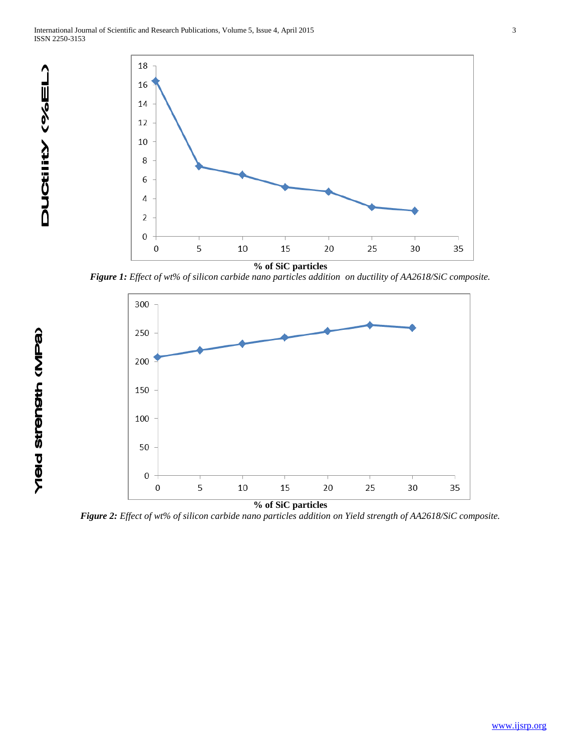

*Figure 1: Effect of wt% of silicon carbide nano particles addition on ductility of AA2618/SiC composite.*



*Figure 2: Effect of wt% of silicon carbide nano particles addition on Yield strength of AA2618/SiC composite.*

Yield strength (MPa)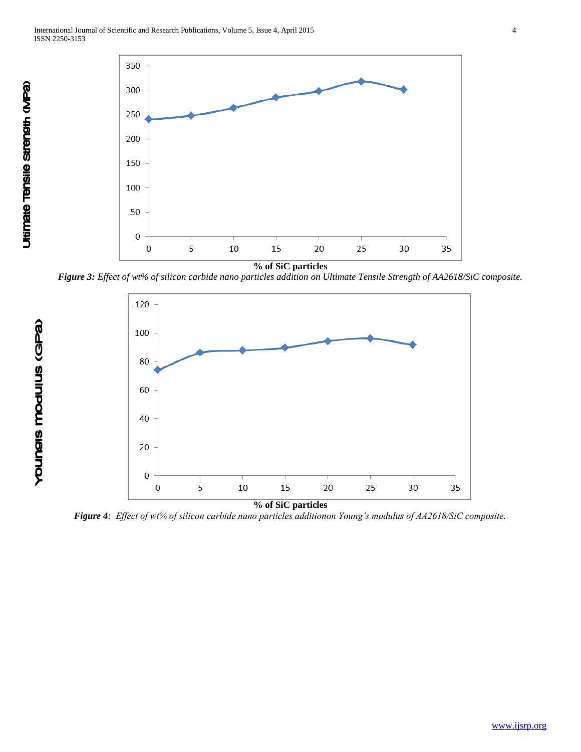

*Figure 3: Effect of wt% of silicon carbide nano particles addition on Ultimate Tensile Strength of AA2618/SiC composite.*



*Figure 4: Effect of wt% of silicon carbide nano particles additionon Young's modulus of AA2618/SiC composite.*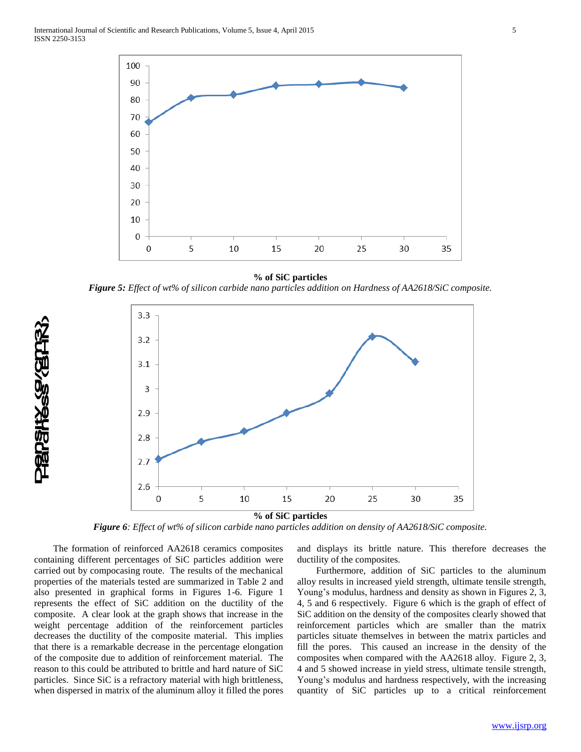

### **% of SiC particles**

*Figure 5: Effect of wt% of silicon carbide nano particles addition on Hardness of AA2618/SiC composite.*



**% of SiC particles**

*Figure 6: Effect of wt% of silicon carbide nano particles addition on density of AA2618/SiC composite.*

 The formation of reinforced AA2618 ceramics composites containing different percentages of SiC particles addition were carried out by compocasing route. The results of the mechanical properties of the materials tested are summarized in Table 2 and also presented in graphical forms in Figures 1-6. Figure 1 represents the effect of SiC addition on the ductility of the composite. A clear look at the graph shows that increase in the weight percentage addition of the reinforcement particles decreases the ductility of the composite material. This implies that there is a remarkable decrease in the percentage elongation of the composite due to addition of reinforcement material. The reason to this could be attributed to brittle and hard nature of SiC particles. Since SiC is a refractory material with high brittleness, when dispersed in matrix of the aluminum alloy it filled the pores

**REPSHASS (BIRK)** 

and displays its brittle nature. This therefore decreases the ductility of the composites.

 Furthermore, addition of SiC particles to the aluminum alloy results in increased yield strength, ultimate tensile strength, Young's modulus, hardness and density as shown in Figures 2, 3, 4, 5 and 6 respectively. Figure 6 which is the graph of effect of SiC addition on the density of the composites clearly showed that reinforcement particles which are smaller than the matrix particles situate themselves in between the matrix particles and fill the pores. This caused an increase in the density of the composites when compared with the AA2618 alloy. Figure 2, 3, 4 and 5 showed increase in yield stress, ultimate tensile strength, Young's modulus and hardness respectively, with the increasing quantity of SiC particles up to a critical reinforcement